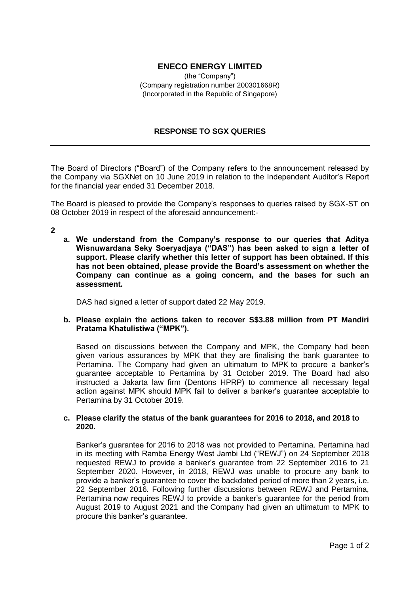# **ENECO ENERGY LIMITED**

(the "Company") (Company registration number 200301668R) (Incorporated in the Republic of Singapore)

## **RESPONSE TO SGX QUERIES**

The Board of Directors ("Board") of the Company refers to the announcement released by the Company via SGXNet on 10 June 2019 in relation to the Independent Auditor's Report for the financial year ended 31 December 2018.

The Board is pleased to provide the Company's responses to queries raised by SGX-ST on 08 October 2019 in respect of the aforesaid announcement:-

**2**

**a. We understand from the Company's response to our queries that Aditya Wisnuwardana Seky Soeryadjaya ("DAS") has been asked to sign a letter of support. Please clarify whether this letter of support has been obtained. If this has not been obtained, please provide the Board's assessment on whether the Company can continue as a going concern, and the bases for such an assessment.**

DAS had signed a letter of support dated 22 May 2019.

### **b. Please explain the actions taken to recover S\$3.88 million from PT Mandiri Pratama Khatulistiwa ("MPK").**

Based on discussions between the Company and MPK, the Company had been given various assurances by MPK that they are finalising the bank guarantee to Pertamina. The Company had given an ultimatum to MPK to procure a banker's guarantee acceptable to Pertamina by 31 October 2019. The Board had also instructed a Jakarta law firm (Dentons HPRP) to commence all necessary legal action against MPK should MPK fail to deliver a banker's guarantee acceptable to Pertamina by 31 October 2019.

### **c. Please clarify the status of the bank guarantees for 2016 to 2018, and 2018 to 2020.**

Banker's guarantee for 2016 to 2018 was not provided to Pertamina. Pertamina had in its meeting with Ramba Energy West Jambi Ltd ("REWJ") on 24 September 2018 requested REWJ to provide a banker's guarantee from 22 September 2016 to 21 September 2020. However, in 2018, REWJ was unable to procure any bank to provide a banker's guarantee to cover the backdated period of more than 2 years, i.e. 22 September 2016. Following further discussions between REWJ and Pertamina, Pertamina now requires REWJ to provide a banker's guarantee for the period from August 2019 to August 2021 and the Company had given an ultimatum to MPK to procure this banker's guarantee.